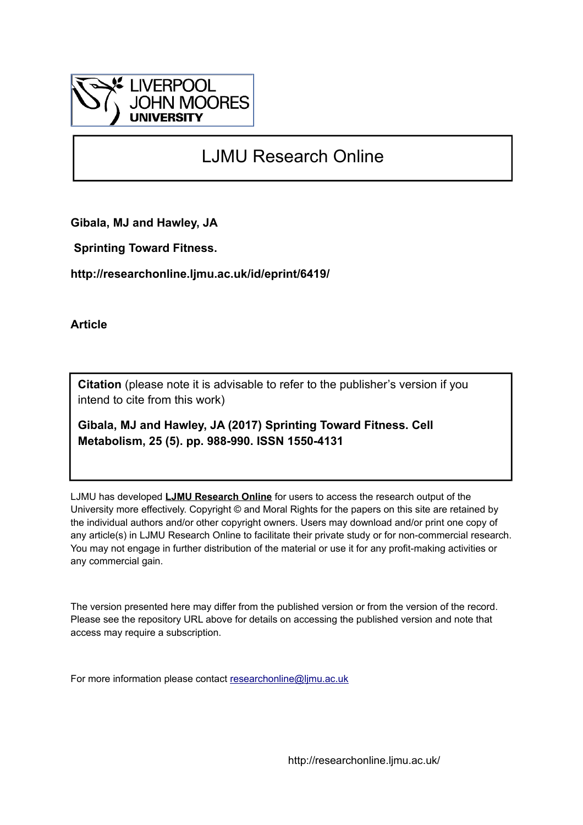

# LJMU Research Online

**Gibala, MJ and Hawley, JA**

 **Sprinting Toward Fitness.**

**http://researchonline.ljmu.ac.uk/id/eprint/6419/**

**Article**

**Citation** (please note it is advisable to refer to the publisher's version if you intend to cite from this work)

**Gibala, MJ and Hawley, JA (2017) Sprinting Toward Fitness. Cell Metabolism, 25 (5). pp. 988-990. ISSN 1550-4131** 

LJMU has developed **[LJMU Research Online](http://researchonline.ljmu.ac.uk/)** for users to access the research output of the University more effectively. Copyright © and Moral Rights for the papers on this site are retained by the individual authors and/or other copyright owners. Users may download and/or print one copy of any article(s) in LJMU Research Online to facilitate their private study or for non-commercial research. You may not engage in further distribution of the material or use it for any profit-making activities or any commercial gain.

The version presented here may differ from the published version or from the version of the record. Please see the repository URL above for details on accessing the published version and note that access may require a subscription.

For more information please contact [researchonline@ljmu.ac.uk](mailto:researchonline@ljmu.ac.uk)

http://researchonline.ljmu.ac.uk/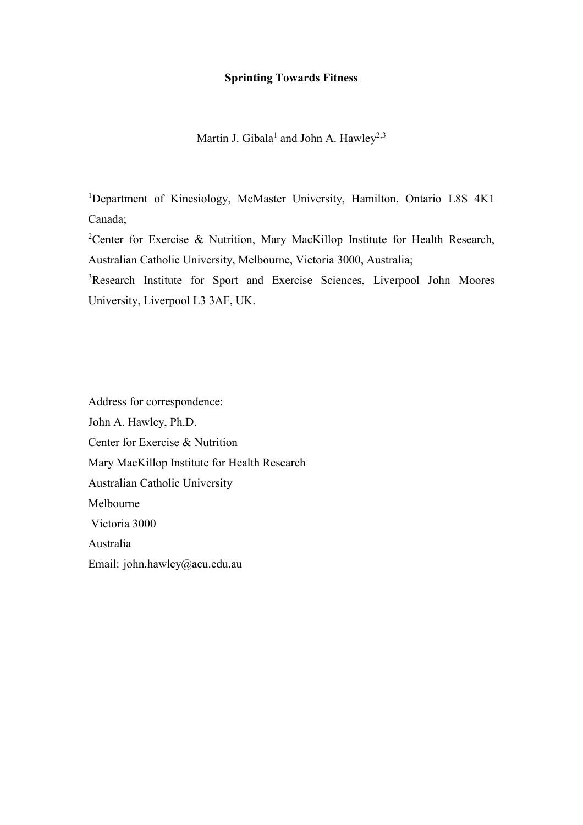## **Sprinting Towards Fitness**

Martin J. Gibala<sup>1</sup> and John A. Hawley<sup>2,3</sup>

<sup>1</sup>Department of Kinesiology, McMaster University, Hamilton, Ontario L8S 4K1 Canada;

<sup>2</sup>Center for Exercise & Nutrition, Mary MacKillop Institute for Health Research, Australian Catholic University, Melbourne, Victoria 3000, Australia;

<sup>3</sup>Research Institute for Sport and Exercise Sciences, Liverpool John Moores University, Liverpool L3 3AF, UK.

Address for correspondence: John A. Hawley, Ph.D. Center for Exercise & Nutrition Mary MacKillop Institute for Health Research Australian Catholic University Melbourne Victoria 3000 Australia Email: john.hawley@acu.edu.au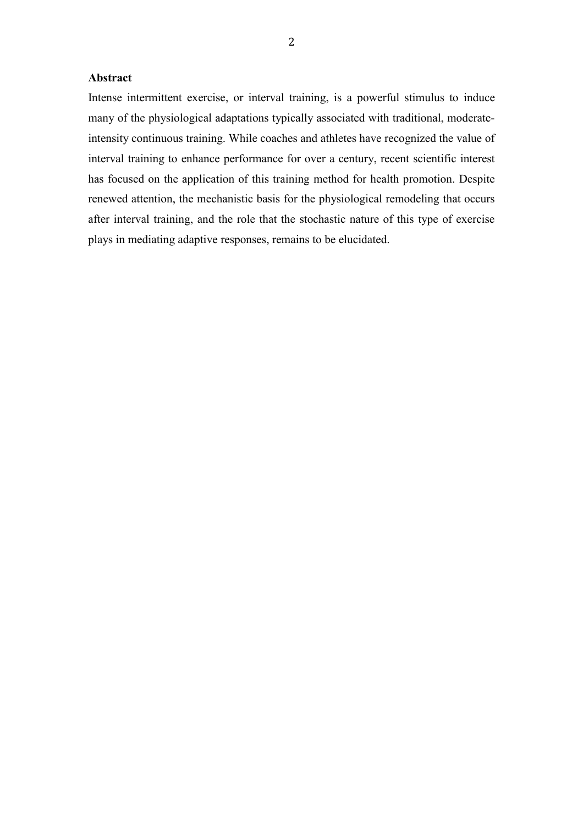### **Abstract**

Intense intermittent exercise, or interval training, is a powerful stimulus to induce many of the physiological adaptations typically associated with traditional, moderateintensity continuous training. While coaches and athletes have recognized the value of interval training to enhance performance for over a century, recent scientific interest has focused on the application of this training method for health promotion. Despite renewed attention, the mechanistic basis for the physiological remodeling that occurs after interval training, and the role that the stochastic nature of this type of exercise plays in mediating adaptive responses, remains to be elucidated.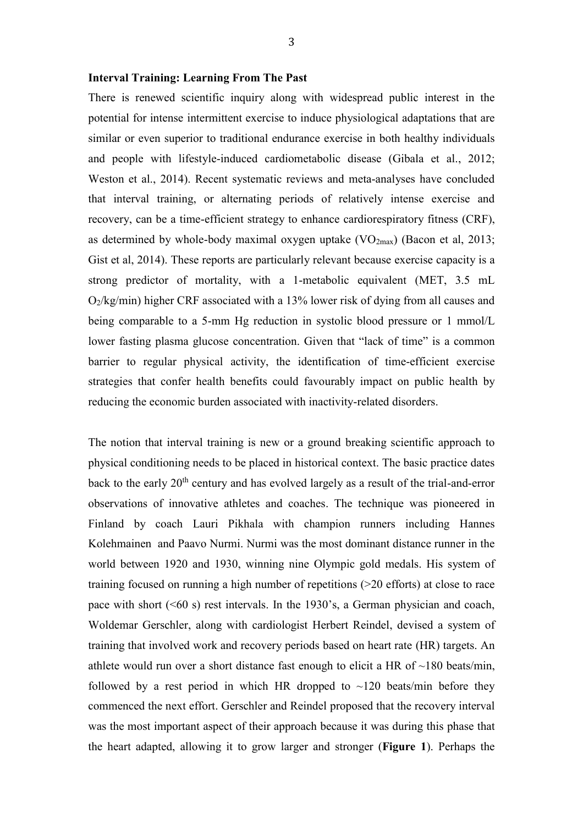#### **Interval Training: Learning From The Past**

There is renewed scientific inquiry along with widespread public interest in the potential for intense intermittent exercise to induce physiological adaptations that are similar or even superior to traditional endurance exercise in both healthy individuals and people with lifestyle-induced cardiometabolic disease (Gibala et al., 2012; Weston et al., 2014). Recent systematic reviews and meta-analyses have concluded that interval training, or alternating periods of relatively intense exercise and recovery, can be a time-efficient strategy to enhance cardiorespiratory fitness (CRF), as determined by whole-body maximal oxygen uptake  $(VO<sub>2max</sub>)$  (Bacon et al, 2013; Gist et al, 2014). These reports are particularly relevant because exercise capacity is a strong predictor of mortality, with a 1-metabolic equivalent (MET, 3.5 mL O2/kg/min) higher CRF associated with a 13% lower risk of dying from all causes and being comparable to a 5-mm Hg reduction in systolic blood pressure or 1 mmol/L lower fasting plasma glucose concentration. Given that "lack of time" is a common barrier to regular physical activity, the identification of time-efficient exercise strategies that confer health benefits could favourably impact on public health by reducing the economic burden associated with inactivity-related disorders.

The notion that interval training is new or a ground breaking scientific approach to physical conditioning needs to be placed in historical context. The basic practice dates back to the early  $20<sup>th</sup>$  century and has evolved largely as a result of the trial-and-error observations of innovative athletes and coaches. The technique was pioneered in Finland by coach Lauri Pikhala with champion runners including Hannes Kolehmainen and Paavo Nurmi. Nurmi was the most dominant distance runner in the world between 1920 and 1930, winning nine Olympic gold medals. His system of training focused on running a high number of repetitions (>20 efforts) at close to race pace with short  $( $60 \text{ s}$ )$  rest intervals. In the 1930's, a German physician and coach, Woldemar Gerschler, along with cardiologist Herbert Reindel, devised a system of training that involved work and recovery periods based on heart rate (HR) targets. An athlete would run over a short distance fast enough to elicit a HR of  $\sim$ 180 beats/min, followed by a rest period in which HR dropped to  $\sim$ 120 beats/min before they commenced the next effort. Gerschler and Reindel proposed that the recovery interval was the most important aspect of their approach because it was during this phase that the heart adapted, allowing it to grow larger and stronger (**Figure 1**). Perhaps the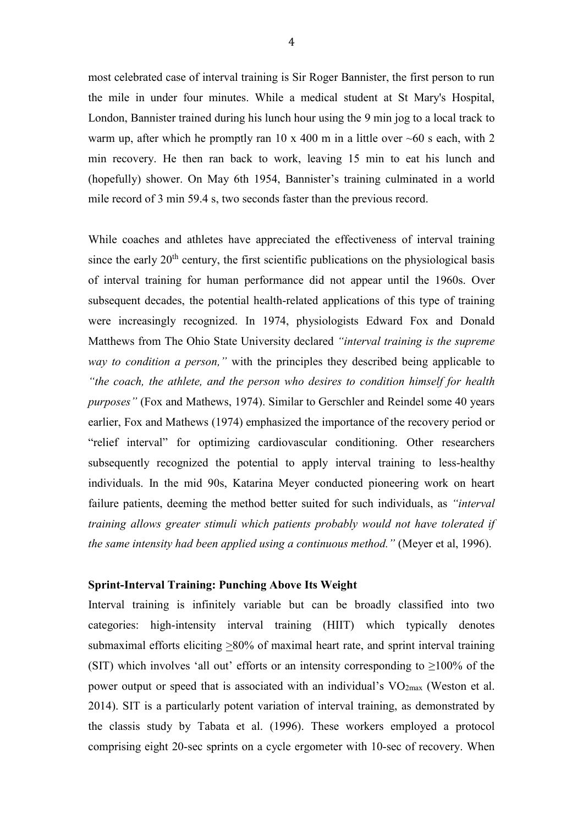most celebrated case of interval training is Sir Roger Bannister, the first person to run the mile in under four minutes. While a medical student at St Mary's Hospital, London, Bannister trained during his lunch hour using the 9 min jog to a local track to warm up, after which he promptly ran 10 x 400 m in a little over  $\sim 60$  s each, with 2 min recovery. He then ran back to work, leaving 15 min to eat his lunch and (hopefully) shower. On May 6th 1954, Bannister's training culminated in a world mile record of 3 min 59.4 s, two seconds faster than the previous record.

While coaches and athletes have appreciated the effectiveness of interval training since the early  $20<sup>th</sup>$  century, the first scientific publications on the physiological basis of interval training for human performance did not appear until the 1960s. Over subsequent decades, the potential health-related applications of this type of training were increasingly recognized. In 1974, physiologists Edward Fox and Donald Matthews from The Ohio State University declared *"interval training is the supreme way to condition a person,"* with the principles they described being applicable to *"the coach, the athlete, and the person who desires to condition himself for health purposes"* (Fox and Mathews, 1974). Similar to Gerschler and Reindel some 40 years earlier, Fox and Mathews (1974) emphasized the importance of the recovery period or "relief interval" for optimizing cardiovascular conditioning. Other researchers subsequently recognized the potential to apply interval training to less-healthy individuals. In the mid 90s, Katarina Meyer conducted pioneering work on heart failure patients, deeming the method better suited for such individuals, as *"interval training allows greater stimuli which patients probably would not have tolerated if the same intensity had been applied using a continuous method."* (Meyer et al, 1996).

#### **Sprint-Interval Training: Punching Above Its Weight**

Interval training is infinitely variable but can be broadly classified into two categories: high-intensity interval training (HIIT) which typically denotes submaximal efforts eliciting  $\geq 80\%$  of maximal heart rate, and sprint interval training (SIT) which involves 'all out' efforts or an intensity corresponding to  $\geq 100\%$  of the power output or speed that is associated with an individual's  $VO<sub>2max</sub>$  (Weston et al. 2014). SIT is a particularly potent variation of interval training, as demonstrated by the classis study by Tabata et al. (1996). These workers employed a protocol comprising eight 20-sec sprints on a cycle ergometer with 10-sec of recovery. When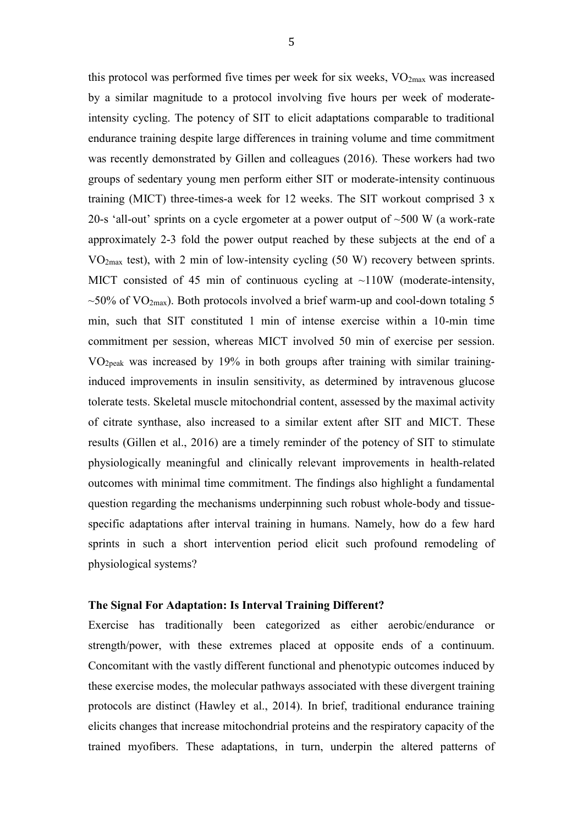this protocol was performed five times per week for six weeks,  $VO<sub>2max</sub>$  was increased by a similar magnitude to a protocol involving five hours per week of moderateintensity cycling. The potency of SIT to elicit adaptations comparable to traditional endurance training despite large differences in training volume and time commitment was recently demonstrated by Gillen and colleagues (2016). These workers had two groups of sedentary young men perform either SIT or moderate-intensity continuous training (MICT) three-times-a week for 12 weeks. The SIT workout comprised 3 x 20-s 'all-out' sprints on a cycle ergometer at a power output of ~500 W (a work-rate approximately 2-3 fold the power output reached by these subjects at the end of a VO2max test), with 2 min of low-intensity cycling (50 W) recovery between sprints. MICT consisted of 45 min of continuous cycling at  $\sim$ 110W (moderate-intensity,  $\sim$ 50% of VO<sub>2max</sub>). Both protocols involved a brief warm-up and cool-down totaling 5 min, such that SIT constituted 1 min of intense exercise within a 10-min time commitment per session, whereas MICT involved 50 min of exercise per session. VO2peak was increased by 19% in both groups after training with similar traininginduced improvements in insulin sensitivity, as determined by intravenous glucose tolerate tests. Skeletal muscle mitochondrial content, assessed by the maximal activity of citrate synthase, also increased to a similar extent after SIT and MICT. These results (Gillen et al., 2016) are a timely reminder of the potency of SIT to stimulate physiologically meaningful and clinically relevant improvements in health-related outcomes with minimal time commitment. The findings also highlight a fundamental question regarding the mechanisms underpinning such robust whole-body and tissuespecific adaptations after interval training in humans. Namely, how do a few hard sprints in such a short intervention period elicit such profound remodeling of physiological systems?

#### **The Signal For Adaptation: Is Interval Training Different?**

Exercise has traditionally been categorized as either aerobic/endurance or strength/power, with these extremes placed at opposite ends of a continuum. Concomitant with the vastly different functional and phenotypic outcomes induced by these exercise modes, the molecular pathways associated with these divergent training protocols are distinct (Hawley et al., 2014). In brief, traditional endurance training elicits changes that increase mitochondrial proteins and the respiratory capacity of the trained myofibers. These adaptations, in turn, underpin the altered patterns of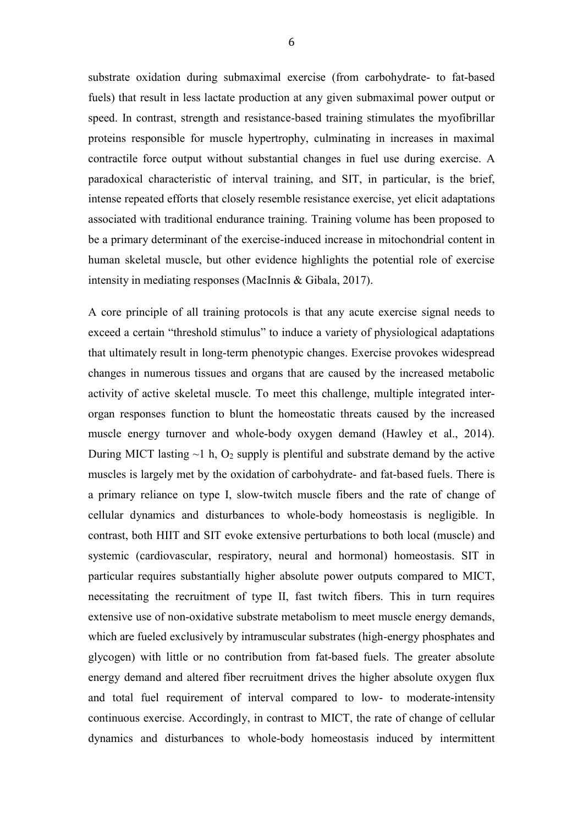substrate oxidation during submaximal exercise (from carbohydrate- to fat-based fuels) that result in less lactate production at any given submaximal power output or speed. In contrast, strength and resistance-based training stimulates the myofibrillar proteins responsible for muscle hypertrophy, culminating in increases in maximal contractile force output without substantial changes in fuel use during exercise. A paradoxical characteristic of interval training, and SIT, in particular, is the brief, intense repeated efforts that closely resemble resistance exercise, yet elicit adaptations associated with traditional endurance training. Training volume has been proposed to be a primary determinant of the exercise-induced increase in mitochondrial content in human skeletal muscle, but other evidence highlights the potential role of exercise intensity in mediating responses (MacInnis & Gibala, 2017).

A core principle of all training protocols is that any acute exercise signal needs to exceed a certain "threshold stimulus" to induce a variety of physiological adaptations that ultimately result in long-term phenotypic changes. Exercise provokes widespread changes in numerous tissues and organs that are caused by the increased metabolic activity of active skeletal muscle. To meet this challenge, multiple integrated interorgan responses function to blunt the homeostatic threats caused by the increased muscle energy turnover and whole-body oxygen demand (Hawley et al., 2014). During MICT lasting  $\sim$ 1 h, O<sub>2</sub> supply is plentiful and substrate demand by the active muscles is largely met by the oxidation of carbohydrate- and fat-based fuels. There is a primary reliance on type I, slow-twitch muscle fibers and the rate of change of cellular dynamics and disturbances to whole-body homeostasis is negligible. In contrast, both HIIT and SIT evoke extensive perturbations to both local (muscle) and systemic (cardiovascular, respiratory, neural and hormonal) homeostasis. SIT in particular requires substantially higher absolute power outputs compared to MICT, necessitating the recruitment of type II, fast twitch fibers. This in turn requires extensive use of non-oxidative substrate metabolism to meet muscle energy demands, which are fueled exclusively by intramuscular substrates (high-energy phosphates and glycogen) with little or no contribution from fat-based fuels. The greater absolute energy demand and altered fiber recruitment drives the higher absolute oxygen flux and total fuel requirement of interval compared to low- to moderate-intensity continuous exercise. Accordingly, in contrast to MICT, the rate of change of cellular dynamics and disturbances to whole-body homeostasis induced by intermittent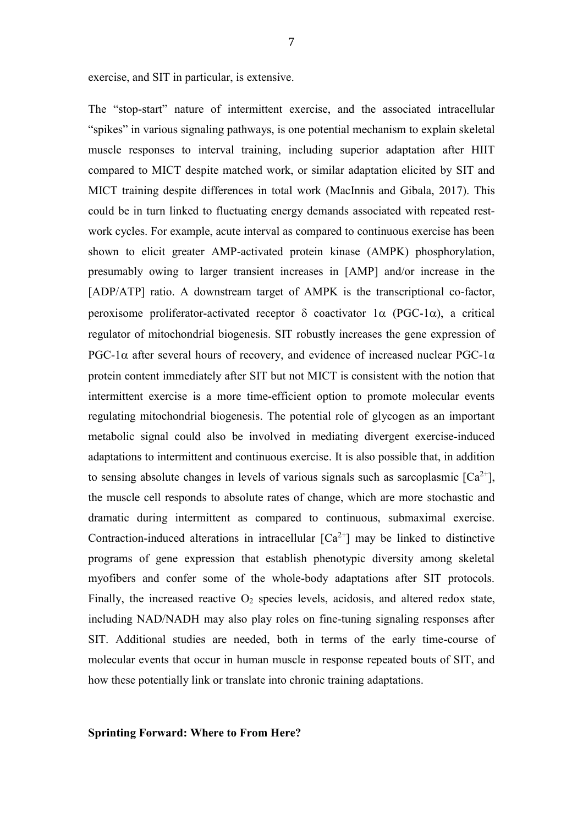exercise, and SIT in particular, is extensive.

The "stop-start" nature of intermittent exercise, and the associated intracellular "spikes" in various signaling pathways, is one potential mechanism to explain skeletal muscle responses to interval training, including superior adaptation after HIIT compared to MICT despite matched work, or similar adaptation elicited by SIT and MICT training despite differences in total work (MacInnis and Gibala, 2017). This could be in turn linked to fluctuating energy demands associated with repeated restwork cycles. For example, acute interval as compared to continuous exercise has been shown to elicit greater AMP-activated protein kinase (AMPK) phosphorylation, presumably owing to larger transient increases in [AMP] and/or increase in the [ADP/ATP] ratio. A downstream target of AMPK is the transcriptional co-factor, peroxisome proliferator-activated receptor  $\delta$  coactivator  $1\alpha$  (PGC-1 $\alpha$ ), a critical regulator of mitochondrial biogenesis. SIT robustly increases the gene expression of PGC-1 $\alpha$  after several hours of recovery, and evidence of increased nuclear PGC-1 $\alpha$ protein content immediately after SIT but not MICT is consistent with the notion that intermittent exercise is a more time-efficient option to promote molecular events regulating mitochondrial biogenesis. The potential role of glycogen as an important metabolic signal could also be involved in mediating divergent exercise-induced adaptations to intermittent and continuous exercise. It is also possible that, in addition to sensing absolute changes in levels of various signals such as sarcoplasmic  $[Ca^{2+}]$ , the muscle cell responds to absolute rates of change, which are more stochastic and dramatic during intermittent as compared to continuous, submaximal exercise. Contraction-induced alterations in intracellular  $[Ca^{2+}]$  may be linked to distinctive programs of gene expression that establish phenotypic diversity among skeletal myofibers and confer some of the whole-body adaptations after SIT protocols. Finally, the increased reactive  $O_2$  species levels, acidosis, and altered redox state, including NAD/NADH may also play roles on fine-tuning signaling responses after SIT. Additional studies are needed, both in terms of the early time-course of molecular events that occur in human muscle in response repeated bouts of SIT, and how these potentially link or translate into chronic training adaptations.

**Sprinting Forward: Where to From Here?**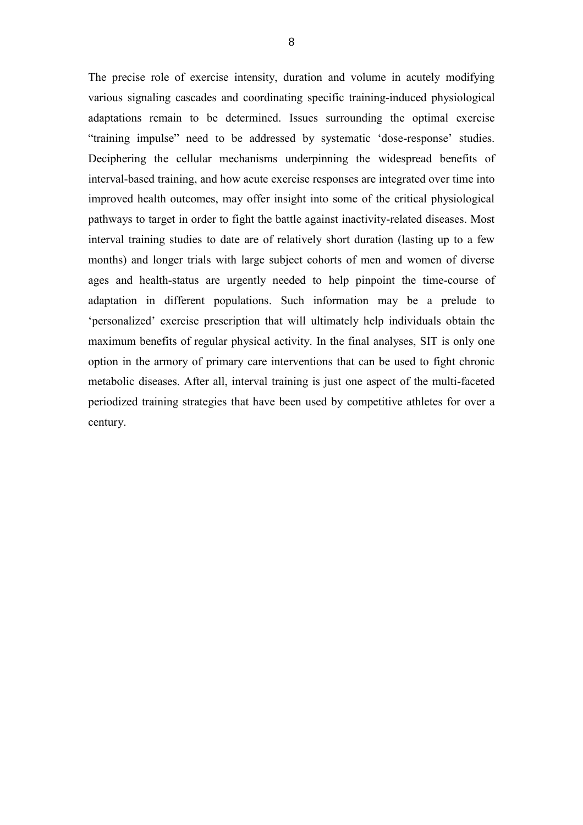The precise role of exercise intensity, duration and volume in acutely modifying various signaling cascades and coordinating specific training-induced physiological adaptations remain to be determined. Issues surrounding the optimal exercise "training impulse" need to be addressed by systematic 'dose-response' studies. Deciphering the cellular mechanisms underpinning the widespread benefits of interval-based training, and how acute exercise responses are integrated over time into improved health outcomes, may offer insight into some of the critical physiological pathways to target in order to fight the battle against inactivity-related diseases. Most interval training studies to date are of relatively short duration (lasting up to a few months) and longer trials with large subject cohorts of men and women of diverse ages and health-status are urgently needed to help pinpoint the time-course of adaptation in different populations. Such information may be a prelude to 'personalized' exercise prescription that will ultimately help individuals obtain the maximum benefits of regular physical activity. In the final analyses, SIT is only one option in the armory of primary care interventions that can be used to fight chronic metabolic diseases. After all, interval training is just one aspect of the multi-faceted periodized training strategies that have been used by competitive athletes for over a century.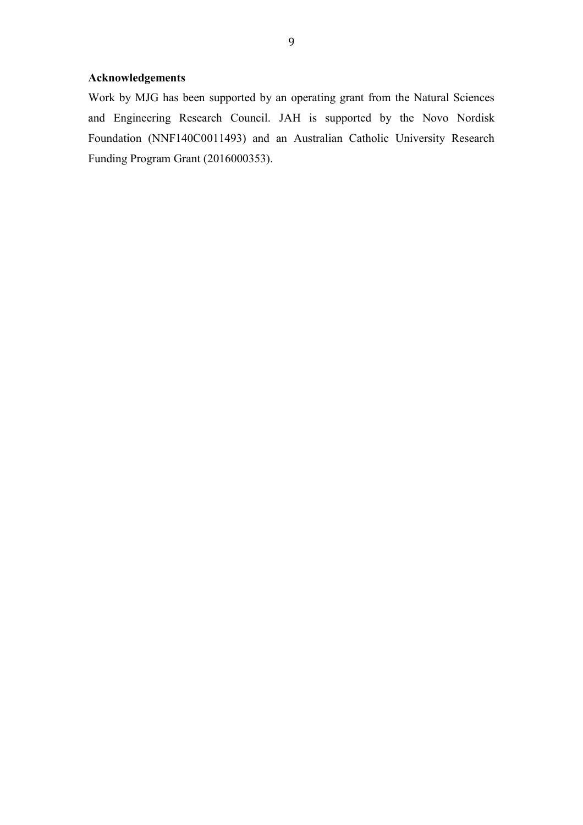# **Acknowledgements**

Work by MJG has been supported by an operating grant from the Natural Sciences and Engineering Research Council. JAH is supported by the Novo Nordisk Foundation (NNF140C0011493) and an Australian Catholic University Research Funding Program Grant (2016000353).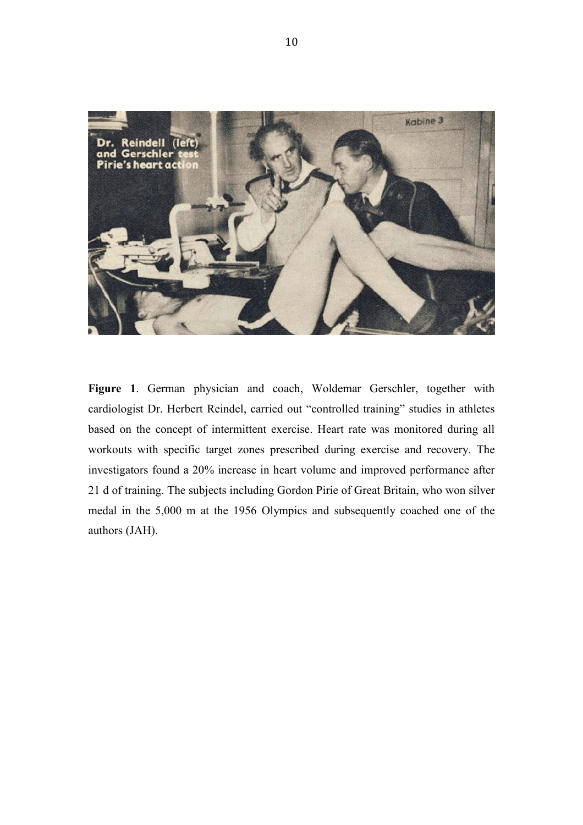

**Figure 1**. German physician and coach, Woldemar Gerschler, together with cardiologist Dr. Herbert Reindel, carried out "controlled training" studies in athletes based on the concept of intermittent exercise. Heart rate was monitored during all workouts with specific target zones prescribed during exercise and recovery. The investigators found a 20% increase in heart volume and improved performance after 21 d of training. The subjects including Gordon Pirie of Great Britain, who won silver medal in the 5,000 m at the 1956 Olympics and subsequently coached one of the authors (JAH).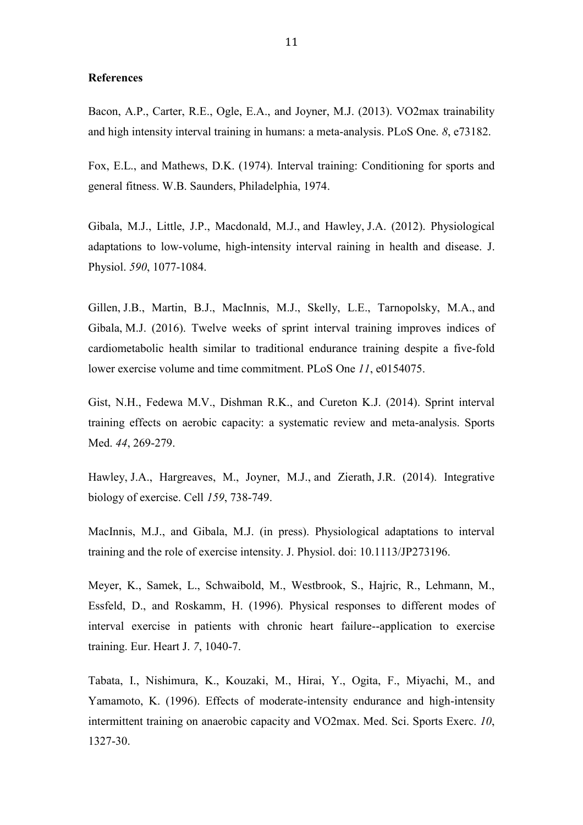#### **References**

Bacon, A.P., Carter, R.E., Ogle, E.A., and Joyner, M.J. (2013). VO2max trainability and high intensity interval training in humans: a meta-analysis. PLoS One. *8*, e73182.

Fox, E.L., and Mathews, D.K. (1974). Interval training: Conditioning for sports and general fitness. W.B. Saunders, Philadelphia, 1974.

Gibala, M.J., Little, J.P., Macdonald, M.J., and Hawley, J.A. (2012). Physiological adaptations to low-volume, high-intensity interval raining in health and disease. J. Physiol. *590*, 1077-1084.

Gillen, J.B., Martin, B.J., MacInnis, M.J., Skelly, L.E., Tarnopolsky, M.A., and Gibala, M.J. (2016). [Twelve weeks of sprint interval training improves indices of](https://www.ncbi.nlm.nih.gov/pubmed/27115137)  [cardiometabolic health similar to traditional endurance training despite a five-fold](https://www.ncbi.nlm.nih.gov/pubmed/27115137)  [lower exercise volume and time commitment.](https://www.ncbi.nlm.nih.gov/pubmed/27115137) PLoS One *11*, e0154075.

Gist, N.H., Fedewa M.V., Dishman R.K., and Cureton K.J. (2014). Sprint interval training effects on aerobic capacity: a systematic review and meta-analysis. Sports Med. *44*, 269-279.

Hawley, J.A., Hargreaves, M., Joyner, M.J., and Zierath, J.R. (2014). Integrative biology of exercise. Cell *159*, 738-749.

MacInnis, M.J., and Gibala, M.J. (in press). Physiological adaptations to interval training and the role of exercise intensity. J. Physiol. doi: 10.1113/JP273196.

Meyer, K., Samek, L., Schwaibold, M., Westbrook, S., Hajric, R., Lehmann, M., Essfeld, D., and Roskamm, H. (1996). Physical responses to different modes of interval exercise in patients with chronic heart failure--application to exercise training. Eur. Heart J. *7*, 1040-7.

Tabata, I., Nishimura, K., Kouzaki, M., Hirai, Y., Ogita, F., Miyachi, M., and Yamamoto, K. (1996). Effects of moderate-intensity endurance and high-intensity intermittent training on anaerobic capacity and VO2max. Med. Sci. Sports Exerc. *10*, 1327-30.